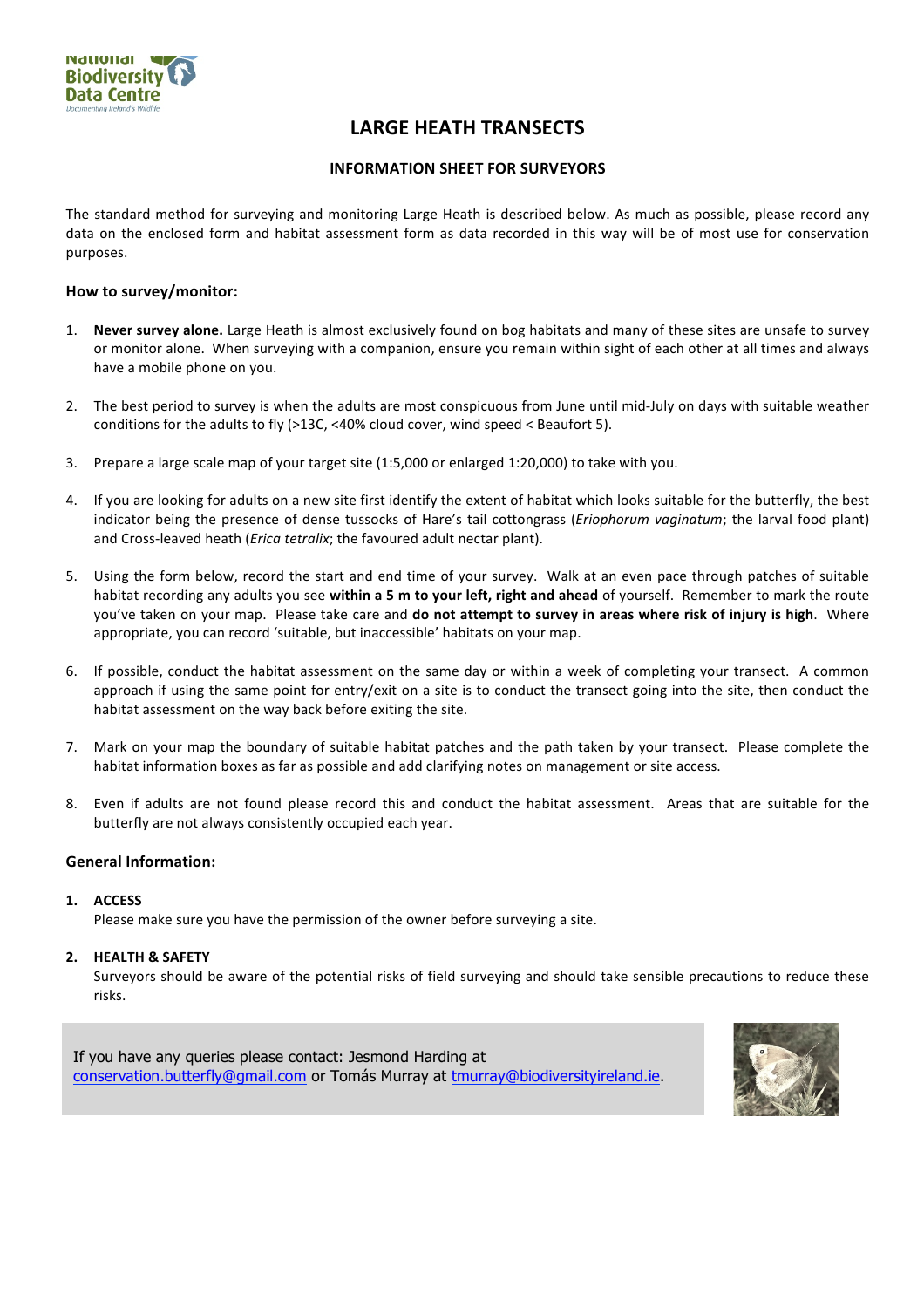

# **LARGE HEATH TRANSECTS**

#### **INFORMATION SHEET FOR SURVEYORS**

The standard method for surveying and monitoring Large Heath is described below. As much as possible, please record any data on the enclosed form and habitat assessment form as data recorded in this way will be of most use for conservation purposes.

#### **How to survey/monitor:**

- 1. Never survey alone. Large Heath is almost exclusively found on bog habitats and many of these sites are unsafe to survey or monitor alone. When surveying with a companion, ensure you remain within sight of each other at all times and always have a mobile phone on you.
- 2. The best period to survey is when the adults are most conspicuous from June until mid-July on days with suitable weather conditions for the adults to fly (>13C, <40% cloud cover, wind speed < Beaufort 5).
- 3. Prepare a large scale map of your target site (1:5,000 or enlarged 1:20,000) to take with you.
- 4. If you are looking for adults on a new site first identify the extent of habitat which looks suitable for the butterfly, the best indicator being the presence of dense tussocks of Hare's tail cottongrass (*Eriophorum vaginatum*; the larval food plant) and Cross-leaved heath (*Erica tetralix*; the favoured adult nectar plant).
- 5. Using the form below, record the start and end time of your survey. Walk at an even pace through patches of suitable habitat recording any adults you see within a 5 m to your left, right and ahead of yourself. Remember to mark the route you've taken on your map. Please take care and do not attempt to survey in areas where risk of injury is high. Where appropriate, you can record 'suitable, but inaccessible' habitats on your map.
- 6. If possible, conduct the habitat assessment on the same day or within a week of completing your transect. A common approach if using the same point for entry/exit on a site is to conduct the transect going into the site, then conduct the habitat assessment on the way back before exiting the site.
- 7. Mark on your map the boundary of suitable habitat patches and the path taken by your transect. Please complete the habitat information boxes as far as possible and add clarifying notes on management or site access.
- 8. Even if adults are not found please record this and conduct the habitat assessment. Areas that are suitable for the butterfly are not always consistently occupied each year.

#### **General Information:**

#### **1. ACCESS**

Please make sure you have the permission of the owner before surveying a site.

#### **2. HEALTH & SAFETY**

Surveyors should be aware of the potential risks of field surveying and should take sensible precautions to reduce these risks. 

If you have any queries please contact: Jesmond Harding at conservation.butterfly@gmail.com or Tomás Murray at tmurray@biodiversityireland.ie.

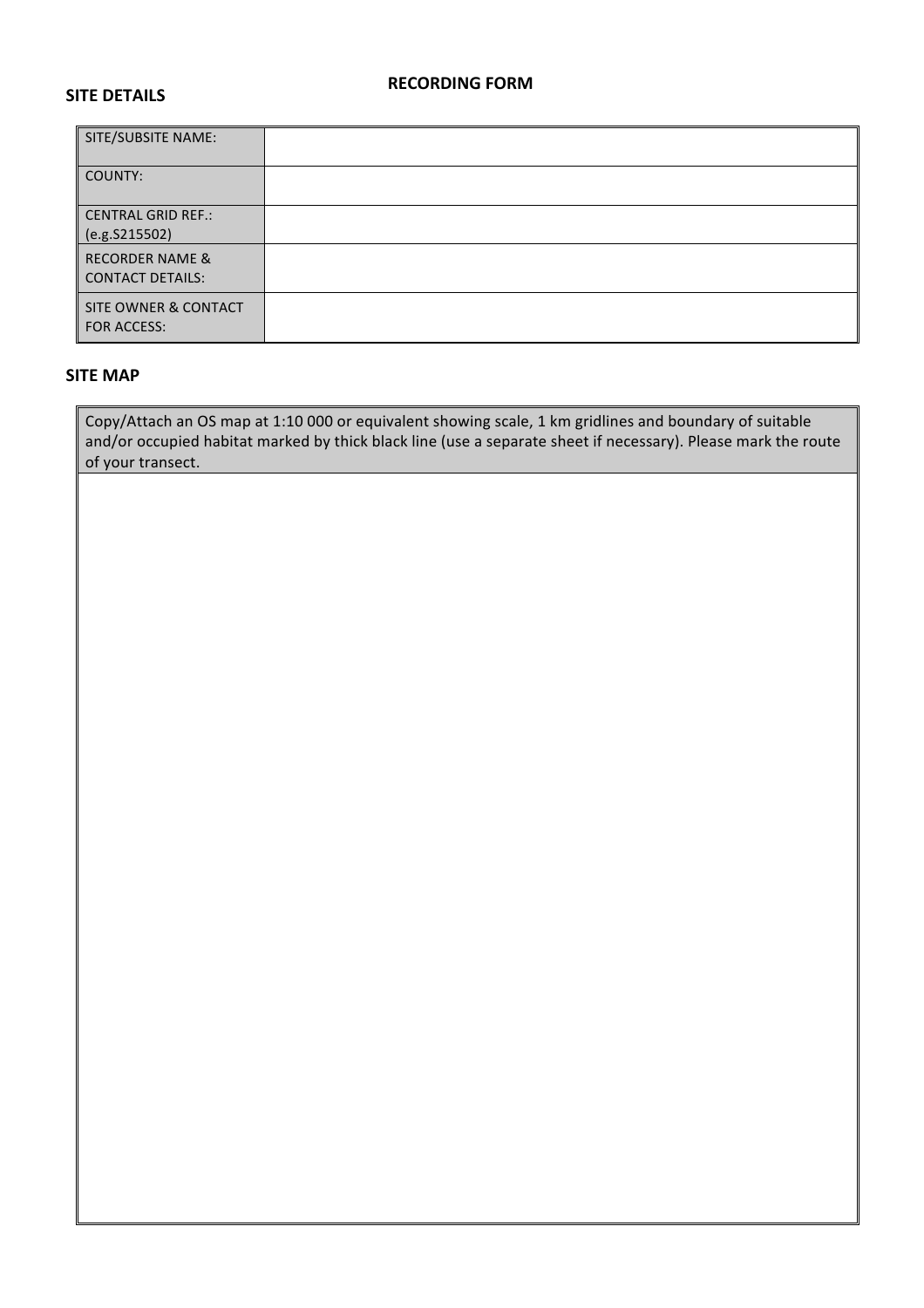### **RECORDING FORM**

### **SITE DETAILS**

| SITE/SUBSITE NAME:                                    |  |
|-------------------------------------------------------|--|
| COUNTY:                                               |  |
| <b>CENTRAL GRID REF.:</b><br>(e.g. S215502)           |  |
| <b>RECORDER NAME &amp;</b><br><b>CONTACT DETAILS:</b> |  |
| SITE OWNER & CONTACT<br><b>FOR ACCESS:</b>            |  |

## **SITE MAP**

Copy/Attach an OS map at 1:10 000 or equivalent showing scale, 1 km gridlines and boundary of suitable and/or occupied habitat marked by thick black line (use a separate sheet if necessary). Please mark the route of your transect.